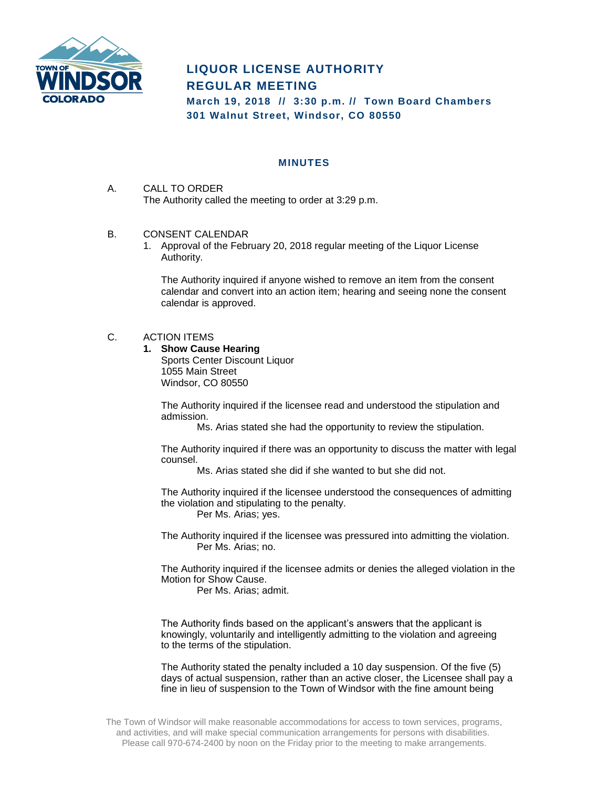

## **LIQUOR LICENSE AUTHORITY REGULAR MEETING**

**March 19, 2018 // 3:30 p.m. // Town Board Chambers 301 Walnut Street, Windsor, CO 80550**

## **MINUTES**

- A. CALL TO ORDER The Authority called the meeting to order at 3:29 p.m.
- B. CONSENT CALENDAR
	- 1. Approval of the February 20, 2018 regular meeting of the Liquor License Authority.

The Authority inquired if anyone wished to remove an item from the consent calendar and convert into an action item; hearing and seeing none the consent calendar is approved.

## C. ACTION ITEMS

**1. Show Cause Hearing** Sports Center Discount Liquor 1055 Main Street Windsor, CO 80550

> The Authority inquired if the licensee read and understood the stipulation and admission.

Ms. Arias stated she had the opportunity to review the stipulation.

The Authority inquired if there was an opportunity to discuss the matter with legal counsel.

Ms. Arias stated she did if she wanted to but she did not.

The Authority inquired if the licensee understood the consequences of admitting the violation and stipulating to the penalty. Per Ms. Arias; yes.

The Authority inquired if the licensee was pressured into admitting the violation. Per Ms. Arias; no.

The Authority inquired if the licensee admits or denies the alleged violation in the Motion for Show Cause.

Per Ms. Arias; admit.

The Authority finds based on the applicant's answers that the applicant is knowingly, voluntarily and intelligently admitting to the violation and agreeing to the terms of the stipulation.

The Authority stated the penalty included a 10 day suspension. Of the five (5) days of actual suspension, rather than an active closer, the Licensee shall pay a fine in lieu of suspension to the Town of Windsor with the fine amount being

The Town of Windsor will make reasonable accommodations for access to town services, programs, and activities, and will make special communication arrangements for persons with disabilities. Please call 970-674-2400 by noon on the Friday prior to the meeting to make arrangements.